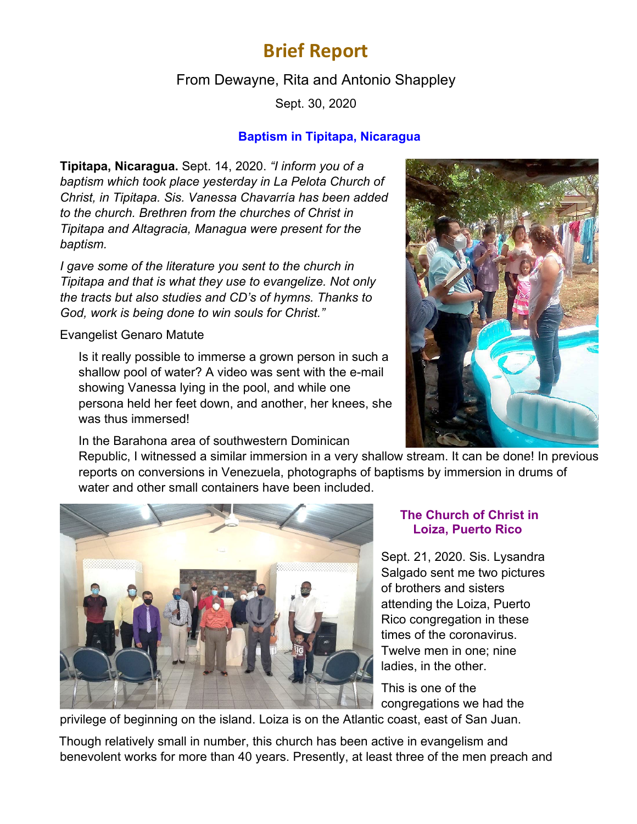# **Brief Report**

## From Dewayne, Rita and Antonio Shappley

Sept. 30, 2020

#### **Baptism in Tipitapa, Nicaragua**

**Tipitapa, Nicaragua.** Sept. 14, 2020. *"I inform you of a baptism which took place yesterday in La Pelota Church of Christ, in Tipitapa. Sis. Vanessa Chavarría has been added to the church. Brethren from the churches of Christ in Tipitapa and Altagracia, Managua were present for the baptism.*

*I gave some of the literature you sent to the church in Tipitapa and that is what they use to evangelize. Not only the tracts but also studies and CD's of hymns. Thanks to God, work is being done to win souls for Christ."*

Evangelist Genaro Matute

Is it really possible to immerse a grown person in such a shallow pool of water? A video was sent with the e-mail showing Vanessa lying in the pool, and while one persona held her feet down, and another, her knees, she was thus immersed!

In the Barahona area of southwestern Dominican

Republic, I witnessed a similar immersion in a very shallow stream. It can be done! In previous reports on conversions in Venezuela, photographs of baptisms by immersion in drums of water and other small containers have been included.



#### **The Church of Christ in Loiza, Puerto Rico**

Sept. 21, 2020. Sis. Lysandra Salgado sent me two pictures of brothers and sisters attending the Loiza, Puerto Rico congregation in these times of the coronavirus. Twelve men in one; nine ladies, in the other.

This is one of the congregations we had the

privilege of beginning on the island. Loiza is on the Atlantic coast, east of San Juan.

Though relatively small in number, this church has been active in evangelism and benevolent works for more than 40 years. Presently, at least three of the men preach and